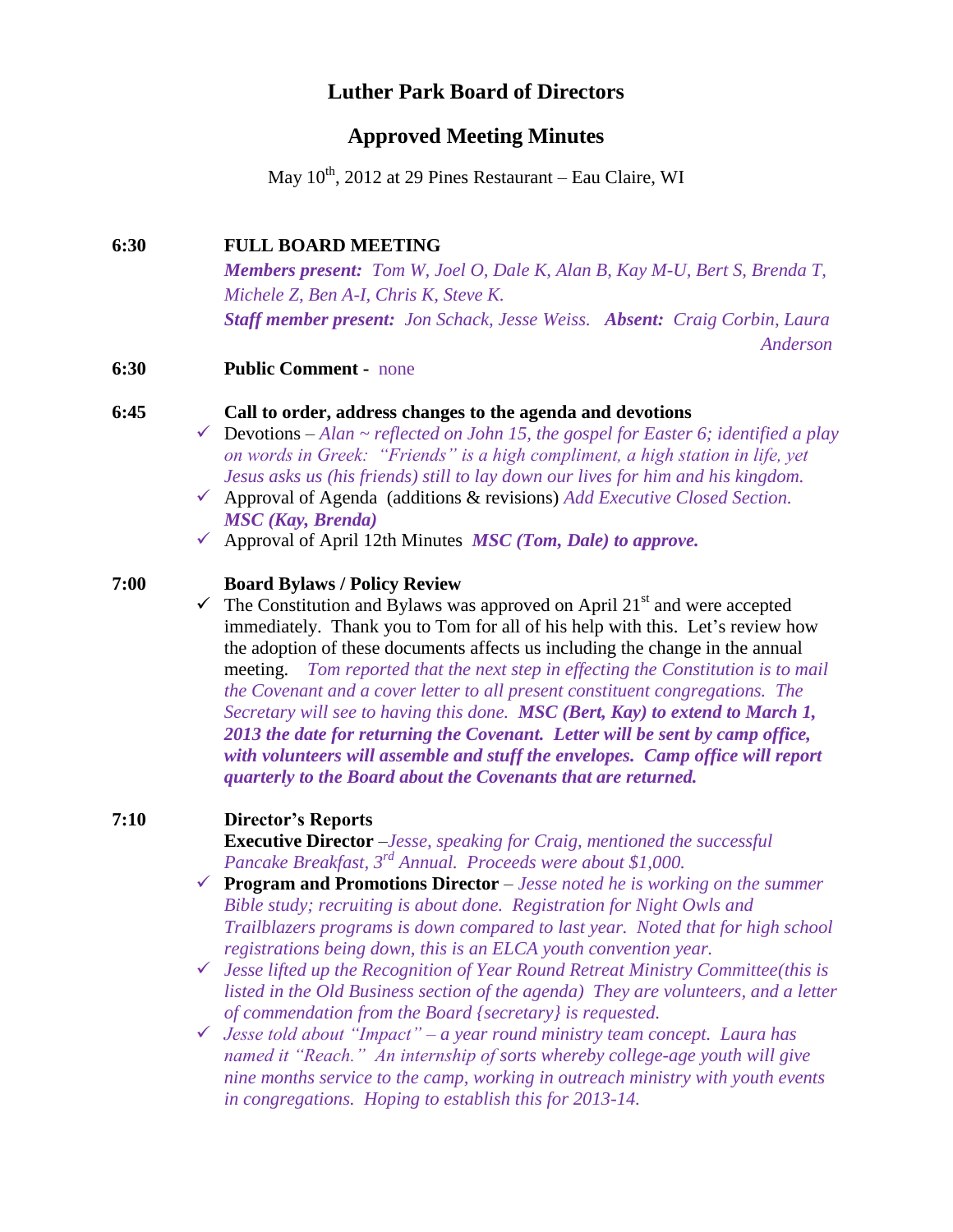# **Luther Park Board of Directors**

### **Approved Meeting Minutes**

May 10<sup>th</sup>, 2012 at 29 Pines Restaurant – Eau Claire, WI

#### **6:30 FULL BOARD MEETING**

*Members present: Tom W, Joel O, Dale K, Alan B, Kay M-U, Bert S, Brenda T, Michele Z, Ben A-I, Chris K, Steve K. Staff member present: Jon Schack, Jesse Weiss. Absent: Craig Corbin, Laura Anderson*

**6:30 Public Comment -** none

#### **6:45 Call to order, address changes to the agenda and devotions**

- Devotions *Alan ~ reflected on John 15, the gospel for Easter 6; identified a play on words in Greek: "Friends" is a high compliment, a high station in life, yet Jesus asks us (his friends) still to lay down our lives for him and his kingdom.*
- Approval of Agenda (additions & revisions) *Add Executive Closed Section. MSC (Kay, Brenda)*
- $\checkmark$  Approval of April 12th Minutes *MSC (Tom, Dale) to approve.*

#### **7:00 Board Bylaws / Policy Review**

 $\checkmark$  The Constitution and Bylaws was approved on April 21<sup>st</sup> and were accepted immediately. Thank you to Tom for all of his help with this. Let's review how the adoption of these documents affects us including the change in the annual meeting. *Tom reported that the next step in effecting the Constitution is to mail the Covenant and a cover letter to all present constituent congregations. The Secretary will see to having this done. MSC (Bert, Kay) to extend to March 1, 2013 the date for returning the Covenant. Letter will be sent by camp office, with volunteers will assemble and stuff the envelopes. Camp office will report quarterly to the Board about the Covenants that are returned.*

#### **7:10 Director's Reports**

**Executive Director** –*Jesse, speaking for Craig, mentioned the successful Pancake Breakfast, 3rd Annual. Proceeds were about \$1,000.*

- **Program and Promotions Director** *Jesse noted he is working on the summer Bible study; recruiting is about done. Registration for Night Owls and Trailblazers programs is down compared to last year. Noted that for high school registrations being down, this is an ELCA youth convention year.*
- *Jesse lifted up the Recognition of Year Round Retreat Ministry Committee(this is listed in the Old Business section of the agenda) They are volunteers, and a letter of commendation from the Board {secretary} is requested.*

 *Jesse told about "Impact" – a year round ministry team concept. Laura has named it "Reach." An internship of sorts whereby college-age youth will give nine months service to the camp, working in outreach ministry with youth events in congregations. Hoping to establish this for 2013-14.*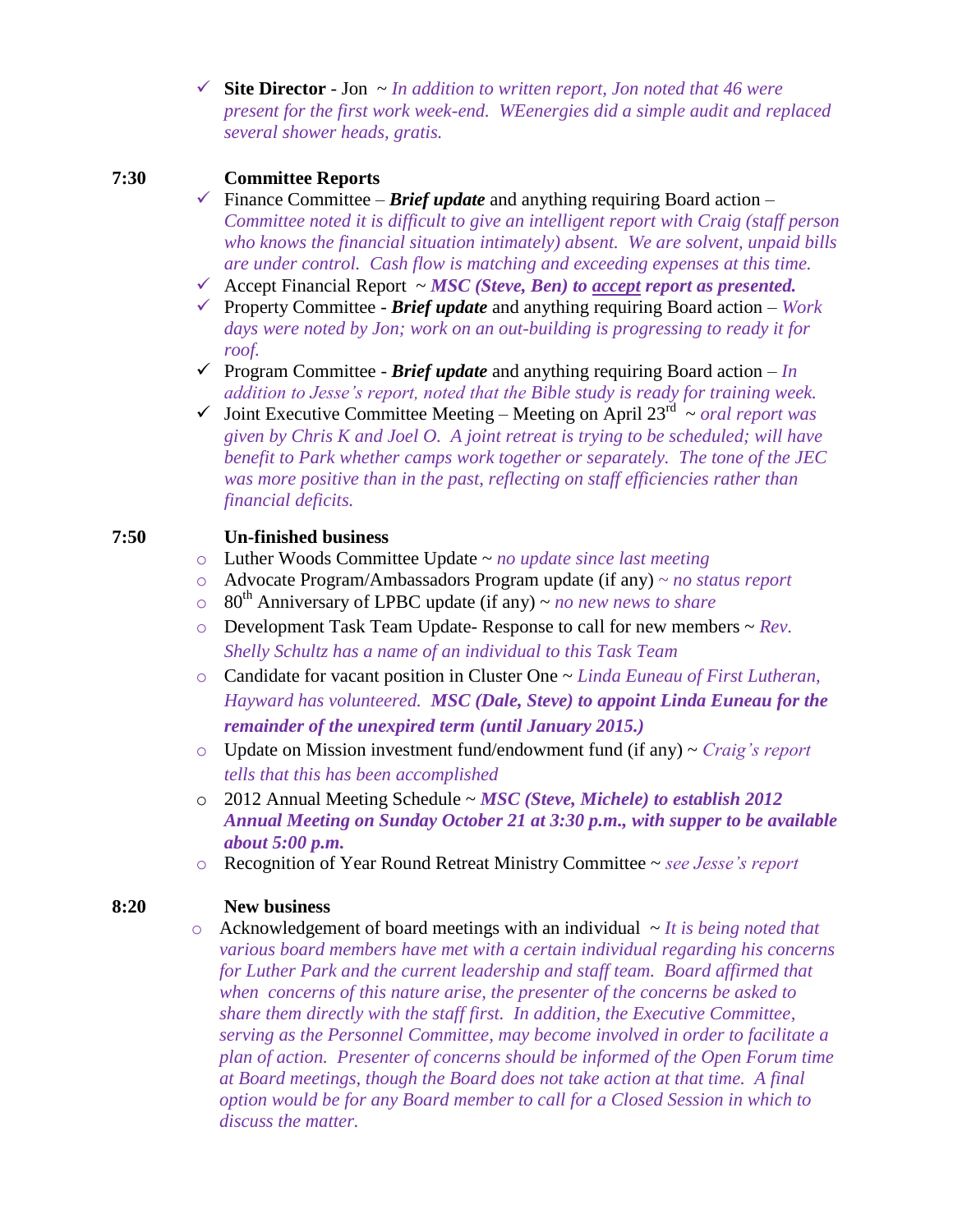**Site Director** - Jon ~ *In addition to written report, Jon noted that 46 were present for the first work week-end. WEenergies did a simple audit and replaced several shower heads, gratis.*

### **7:30 Committee Reports**

- Finance Committee *Brief update* and anything requiring Board action *Committee noted it is difficult to give an intelligent report with Craig (staff person who knows the financial situation intimately) absent. We are solvent, unpaid bills are under control. Cash flow is matching and exceeding expenses at this time.*
- $\checkmark$  Accept Financial Report  $\sim \text{MSC}$  (Steve, Ben) to accept report as presented.
- Property Committee *Brief update* and anything requiring Board action *Work days were noted by Jon; work on an out-building is progressing to ready it for roof.*
- $\checkmark$  Program Committee *Brief update* and anything requiring Board action *In addition to Jesse's report, noted that the Bible study is ready for training week.*
- $\checkmark$  Joint Executive Committee Meeting Meeting on April 23<sup>rd</sup>  $\sim$  oral report was *given by Chris K and Joel O. A joint retreat is trying to be scheduled; will have benefit to Park whether camps work together or separately. The tone of the JEC was more positive than in the past, reflecting on staff efficiencies rather than financial deficits.*

### **7:50 Un-finished business**

- o Luther Woods Committee Update ~ *no update since last meeting*
- o Advocate Program/Ambassadors Program update (if any) *~ no status report*
- o 80th Anniversary of LPBC update (if any) ~ *no new news to share*
- o Development Task Team Update- Response to call for new members ~ *Rev. Shelly Schultz has a name of an individual to this Task Team*
- o Candidate for vacant position in Cluster One ~ *Linda Euneau of First Lutheran, Hayward has volunteered. MSC (Dale, Steve) to appoint Linda Euneau for the remainder of the unexpired term (until January 2015.)*
- o Update on Mission investment fund/endowment fund (if any) ~ *Craig's report tells that this has been accomplished*
- o 2012 Annual Meeting Schedule ~ *MSC (Steve, Michele) to establish 2012 Annual Meeting on Sunday October 21 at 3:30 p.m., with supper to be available about 5:00 p.m.*
- o Recognition of Year Round Retreat Ministry Committee ~ *see Jesse's report*

#### **8:20 New business**

o Acknowledgement of board meetings with an individual ~ *It is being noted that various board members have met with a certain individual regarding his concerns for Luther Park and the current leadership and staff team. Board affirmed that when concerns of this nature arise, the presenter of the concerns be asked to share them directly with the staff first. In addition, the Executive Committee, serving as the Personnel Committee, may become involved in order to facilitate a plan of action. Presenter of concerns should be informed of the Open Forum time at Board meetings, though the Board does not take action at that time. A final option would be for any Board member to call for a Closed Session in which to discuss the matter.*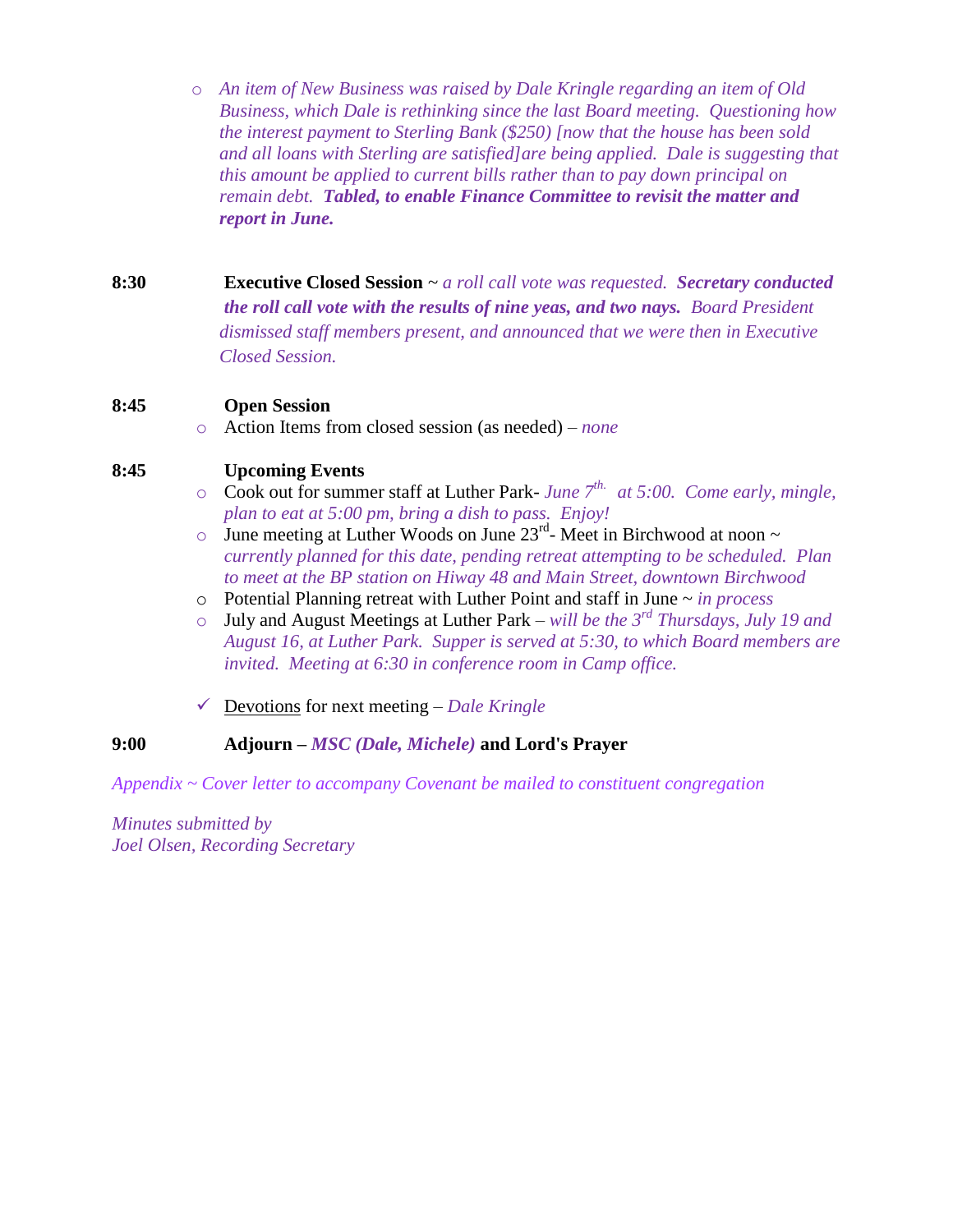o *An item of New Business was raised by Dale Kringle regarding an item of Old Business, which Dale is rethinking since the last Board meeting. Questioning how the interest payment to Sterling Bank (\$250) [now that the house has been sold and all loans with Sterling are satisfied]are being applied. Dale is suggesting that this amount be applied to current bills rather than to pay down principal on remain debt. Tabled, to enable Finance Committee to revisit the matter and report in June.*

**8:30 Executive Closed Session** ~ *a roll call vote was requested. Secretary conducted the roll call vote with the results of nine yeas, and two nays. Board President dismissed staff members present, and announced that we were then in Executive Closed Session.*

## **8:45 Open Session**

o Action Items from closed session (as needed) – *none*

# **8:45 Upcoming Events**

- o Cook out for summer staff at Luther Park- *June 7th. at 5:00. Come early, mingle, plan to eat at 5:00 pm, bring a dish to pass. Enjoy!*
- $\circ$  June meeting at Luther Woods on June 23<sup>rd</sup>- Meet in Birchwood at noon  $\sim$ *currently planned for this date, pending retreat attempting to be scheduled. Plan to meet at the BP station on Hiway 48 and Main Street, downtown Birchwood*
- o Potential Planning retreat with Luther Point and staff in June ~ *in process*
- o July and August Meetings at Luther Park *will be the 3rd Thursdays, July 19 and August 16, at Luther Park. Supper is served at 5:30, to which Board members are invited. Meeting at 6:30 in conference room in Camp office.*
- Devotions for next meeting *Dale Kringle*

# **9:00 Adjourn –** *MSC (Dale, Michele)* **and Lord's Prayer**

*Appendix ~ Cover letter to accompany Covenant be mailed to constituent congregation*

*Minutes submitted by Joel Olsen, Recording Secretary*